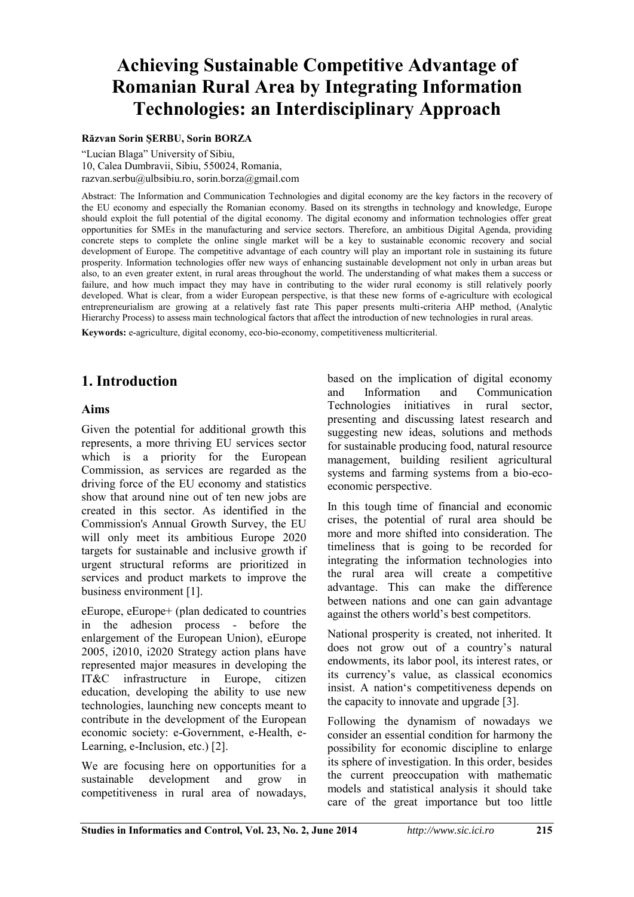# **Achieving Sustainable Competitive Advantage of Romanian Rural Area by Integrating Information Technologies: an Interdisciplinary Approach**

#### **Răzvan Sorin ŞERBU, Sorin BORZA**

"Lucian Blaga" University of Sibiu, 10, Calea Dumbravii, Sibiu, 550024, Romania, razvan.serbu@ulbsibiu.ro, sorin.borza@gmail.com

Abstract: The Information and Communication Technologies and digital economy are the key factors in the recovery of the EU economy and especially the Romanian economy. Based on its strengths in technology and knowledge, Europe should exploit the full potential of the digital economy. The digital economy and information technologies offer great opportunities for SMEs in the manufacturing and service sectors. Therefore, an ambitious Digital Agenda, providing concrete steps to complete the online single market will be a key to sustainable economic recovery and social development of Europe. The competitive advantage of each country will play an important role in sustaining its future prosperity. Information technologies offer new ways of enhancing sustainable development not only in urban areas but also, to an even greater extent, in rural areas throughout the world. The understanding of what makes them a success or failure, and how much impact they may have in contributing to the wider rural economy is still relatively poorly developed. What is clear, from a wider European perspective, is that these new forms of e-agriculture with ecological entrepreneurialism are growing at a relatively fast rate This paper presents multi-criteria AHP method, (Analytic Hierarchy Process) to assess main technological factors that affect the introduction of new technologies in rural areas.

**Keywords:** e-agriculture, digital economy, eco-bio-economy, competitiveness multicriterial.

## **1. Introduction**

#### **Aims**

Given the potential for additional growth this represents, a more thriving EU services sector which is a priority for the European Commission, as services are regarded as the driving force of the EU economy and statistics show that around nine out of ten new jobs are created in this sector. As identified in the Commission's Annual Growth Survey, the EU will only meet its ambitious Europe 2020 targets for sustainable and inclusive growth if urgent structural reforms are prioritized in services and product markets to improve the business environment [1].

eEurope, eEurope+ (plan dedicated to countries in the adhesion process - before the enlargement of the European Union), eEurope 2005, i2010, i2020 Strategy action plans have represented major measures in developing the IT&C infrastructure in Europe, citizen education, developing the ability to use new technologies, launching new concepts meant to contribute in the development of the European economic society: e-Government, e-Health, e-Learning, e-Inclusion, etc.) [2].

We are focusing here on opportunities for a sustainable development and grow in competitiveness in rural area of nowadays,

based on the implication of digital economy and Information and Communication Technologies initiatives in rural sector, presenting and discussing latest research and suggesting new ideas, solutions and methods for sustainable producing food, natural resource management, building resilient agricultural systems and farming systems from a bio-ecoeconomic perspective.

In this tough time of financial and economic crises, the potential of rural area should be more and more shifted into consideration. The timeliness that is going to be recorded for integrating the information technologies into the rural area will create a competitive advantage. This can make the difference between nations and one can gain advantage against the others world's best competitors.

National prosperity is created, not inherited. It does not grow out of a country's natural endowments, its labor pool, its interest rates, or its currency's value, as classical economics insist. A nation's competitiveness depends on the capacity to innovate and upgrade [3].

Following the dynamism of nowadays we consider an essential condition for harmony the possibility for economic discipline to enlarge its sphere of investigation. In this order, besides the current preoccupation with mathematic models and statistical analysis it should take care of the great importance but too little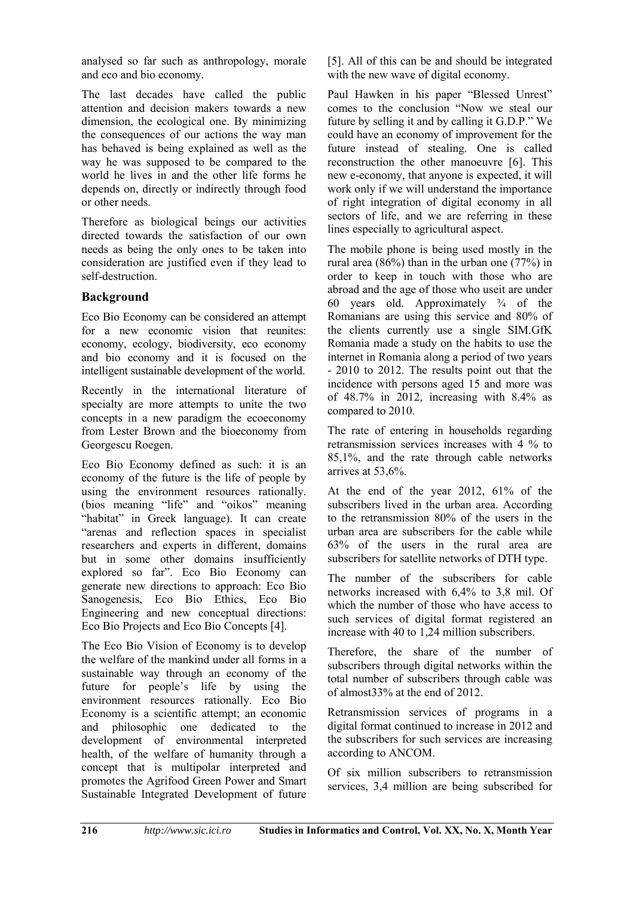analysed so far such as anthropology, morale and eco and bio economy.

The last decades have called the public attention and decision makers towards a new dimension, the ecological one. By minimizing the consequences of our actions the way man has behaved is being explained as well as the way he was supposed to be compared to the world he lives in and the other life forms he depends on, directly or indirectly through food or other needs.

Therefore as biological beings our activities directed towards the satisfaction of our own needs as being the only ones to be taken into consideration are justified even if they lead to self-destruction.

#### **Background**

Eco Bio Economy can be considered an attempt for a new economic vision that reunites: economy, ecology, biodiversity, eco economy and bio economy and it is focused on the intelligent sustainable development of the world.

Recently in the international literature of specialty are more attempts to unite the two concepts in a new paradigm the ecoeconomy from Lester Brown and the bioeconomy from Georgescu Roegen.

Eco Bio Economy defined as such: it is an economy of the future is the life of people by using the environment resources rationally. (bios meaning "life" and "oikos" meaning "habitat" in Greek language). It can create "arenas and reflection spaces in specialist researchers and experts in different, domains but in some other domains insufficiently explored so far". Eco Bio Economy can generate new directions to approach: Eco Bio Sanogenesis, Eco Bio Ethics, Eco Bio Engineering and new conceptual directions: Eco Bio Projects and Eco Bio Concepts [4].

The Eco Bio Vision of Economy is to develop the welfare of the mankind under all forms in a sustainable way through an economy of the future for people's life by using the environment resources rationally. Eco Bio Economy is a scientific attempt; an economic and philosophic one dedicated to the development of environmental interpreted health, of the welfare of humanity through a concept that is multipolar interpreted and promotes the Agrifood Green Power and Smart Sustainable Integrated Development of future

[5]. All of this can be and should be integrated with the new wave of digital economy.

Paul Hawken in his paper "Blessed Unrest" comes to the conclusion "Now we steal our future by selling it and by calling it G.D.P." We could have an economy of improvement for the future instead of stealing. One is called reconstruction the other manoeuvre [6]. This new e-economy, that anyone is expected, it will work only if we will understand the importance of right integration of digital economy in all sectors of life, and we are referring in these lines especially to agricultural aspect.

The mobile phone is being used mostly in the rural area (86%) than in the urban one (77%) in order to keep in touch with those who are abroad and the age of those who useit are under 60 years old. Approximately  $\frac{3}{4}$  of the Romanians are using this service and 80% of the clients currently use a single SIM.GfK Romania made a study on the habits to use the internet in Romania along a period of two years - 2010 to 2012. The results point out that the incidence with persons aged 15 and more was of 48.7% in 2012, increasing with 8.4% as compared to 2010.

The rate of entering in households regarding retransmission services increases with 4 % to 85,1%, and the rate through cable networks arrives at 53,6%.

At the end of the year 2012, 61% of the subscribers lived in the urban area. According to the retransmission 80% of the users in the urban area are subscribers for the cable while 63% of the users in the rural area are subscribers for satellite networks of DTH type.

The number of the subscribers for cable networks increased with 6,4% to 3,8 mil. Of which the number of those who have access to such services of digital format registered an increase with 40 to 1,24 million subscribers.

Therefore, the share of the number of subscribers through digital networks within the total number of subscribers through cable was of almost33% at the end of 2012.

Retransmission services of programs in a digital format continued to increase in 2012 and the subscribers for such services are increasing according to ANCOM.

Of six million subscribers to retransmission services, 3,4 million are being subscribed for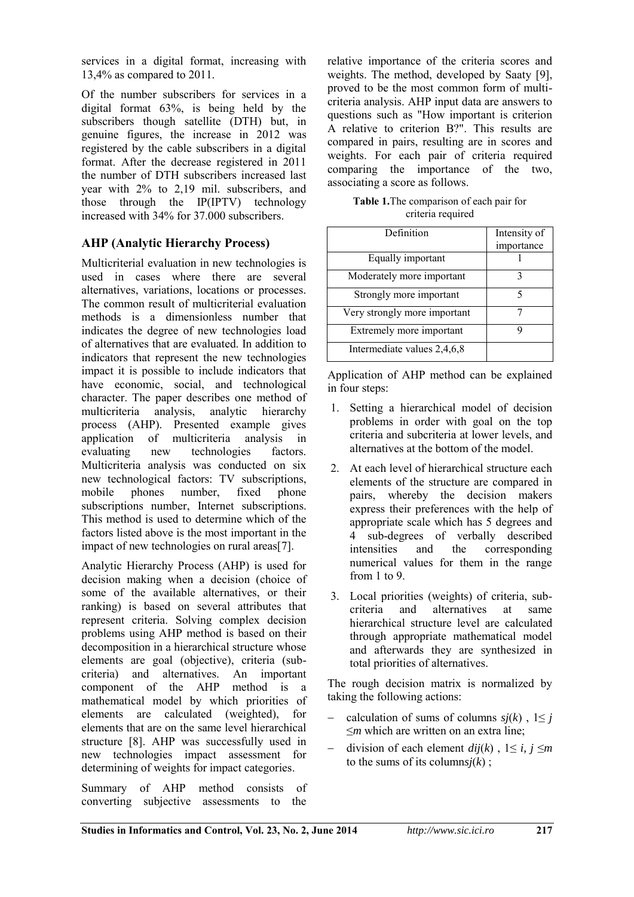services in a digital format, increasing with 13,4% as compared to 2011.

Of the number subscribers for services in a digital format 63%, is being held by the subscribers though satellite (DTH) but, in genuine figures, the increase in 2012 was registered by the cable subscribers in a digital format. After the decrease registered in 2011 the number of DTH subscribers increased last year with 2% to 2,19 mil. subscribers, and those through the IP(IPTV) technology increased with 34% for 37.000 subscribers.

### **AHP (Analytic Hierarchy Process)**

Multicriterial evaluation in new technologies is used in cases where there are several alternatives, variations, locations or processes. The common result of multicriterial evaluation methods is a dimensionless number that indicates the degree of new technologies load of alternatives that are evaluated. In addition to indicators that represent the new technologies impact it is possible to include indicators that have economic, social, and technological character. The paper describes one method of multicriteria analysis, analytic hierarchy process (AHP). Presented example gives application of multicriteria analysis in evaluating new technologies factors. Multicriteria analysis was conducted on six new technological factors: TV subscriptions, mobile phones number, fixed phone subscriptions number, Internet subscriptions. This method is used to determine which of the factors listed above is the most important in the impact of new technologies on rural areas[7].

Analytic Hierarchy Process (AHP) is used for decision making when a decision (choice of some of the available alternatives, or their ranking) is based on several attributes that represent criteria. Solving complex decision problems using AHP method is based on their decomposition in a hierarchical structure whose elements are goal (objective), criteria (subcriteria) and alternatives. An important component of the AHP method is a mathematical model by which priorities of elements are calculated (weighted), for elements that are on the same level hierarchical structure [8]. AHP was successfully used in new technologies impact assessment for determining of weights for impact categories.

Summary of AHP method consists of converting subjective assessments to the relative importance of the criteria scores and weights. The method, developed by Saaty [9], proved to be the most common form of multicriteria analysis. AHP input data are answers to questions such as "How important is criterion A relative to criterion B?". This results are compared in pairs, resulting are in scores and weights. For each pair of criteria required comparing the importance of the two, associating a score as follows.

**Table 1.**The comparison of each pair for criteria required

| Definition                   | Intensity of<br>importance |
|------------------------------|----------------------------|
| Equally important            |                            |
| Moderately more important    | 3                          |
| Strongly more important      | 5                          |
| Very strongly more important |                            |
| Extremely more important     |                            |
| Intermediate values 2,4,6,8  |                            |

Application of AHP method can be explained in four steps:

- 1. Setting a hierarchical model of decision problems in order with goal on the top criteria and subcriteria at lower levels, and alternatives at the bottom of the model.
- 2. At each level of hierarchical structure each elements of the structure are compared in pairs, whereby the decision makers express their preferences with the help of appropriate scale which has 5 degrees and 4 sub-degrees of verbally described<br>intensities and the corresponding intensities and the corresponding numerical values for them in the range from 1 to 9.
- 3. Local priorities (weights) of criteria, subcriteria and alternatives at same hierarchical structure level are calculated through appropriate mathematical model and afterwards they are synthesized in total priorities of alternatives.

The rough decision matrix is normalized by taking the following actions:

- calculation of sums of columns  $si(k)$ ,  $1 \leq i$ ≤*m* which are written on an extra line;
- division of each element  $dij(k)$ ,  $1 \le i, j \le m$ to the sums of its columns $j(k)$ ;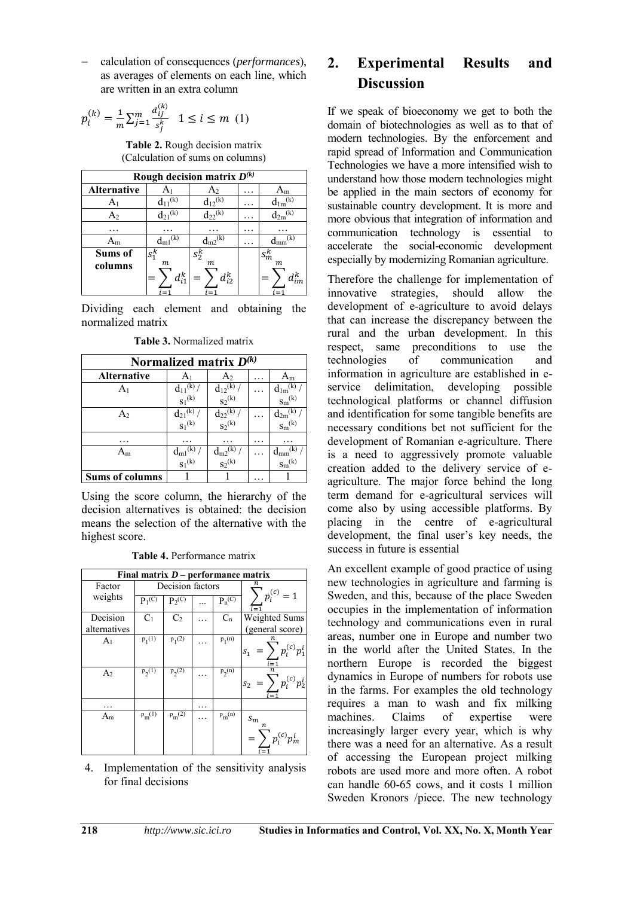calculation of consequences (*performances*), as averages of elements on each line, which are written in an extra column

$$
p_i^{(k)} = \frac{1}{m} \sum_{j=1}^{m} \frac{a_{ij}^{(k)}}{s_j^k} \quad 1 \le i \le m \ (1)
$$

**Table 2.** Rough decision matrix (Calculation of sums on columns)

| Rough decision matrix $D^{(k)}$ |                         |                                |   |                              |  |  |
|---------------------------------|-------------------------|--------------------------------|---|------------------------------|--|--|
| Alternative                     |                         | A2                             |   | ١m                           |  |  |
|                                 | $d_{11}$ <sup>(k)</sup> | (k)                            |   | (k                           |  |  |
| A <sub>2</sub>                  | $d_{21}$ <sup>(k)</sup> | $d_{22}^{(k)}$                 |   | $(\mathbf{k})$<br>$a_{2m}$   |  |  |
|                                 |                         |                                | . |                              |  |  |
| $A_{m}$                         |                         |                                | . | (k)                          |  |  |
| Sums of                         | $S_1^k$                 | $s_2^k$                        |   | $s_m^k$                      |  |  |
| columns                         | m<br>$d_{i1}^k$         | $\boldsymbol{m}$<br>$d_{i2}^k$ |   | $\boldsymbol{m}$<br>$d_{im}$ |  |  |

Dividing each element and obtaining the normalized matrix

**Table 3.** Normalized matrix

| Normalized matrix $D^{(k)}$ |                                  |                            |  |                                      |  |
|-----------------------------|----------------------------------|----------------------------|--|--------------------------------------|--|
| <b>Alternative</b>          | A1                               | A <sub>2</sub>             |  | $A_m$                                |  |
| A <sub>1</sub>              | $\frac{d_{11}(k)}{s_1(k)}$       | $\frac{d_{12}(k)}{S_2(k)}$ |  | $\frac{d_{1m}{}^{(k)}}{s_m{}^{(k)}}$ |  |
|                             |                                  |                            |  |                                      |  |
| A2                          | $\frac{d_{21}(k)}{s_1(k)}$ .     | $\frac{d_{22}(k)}{S_2(k)}$ |  | $\frac{d_{2m}^{(k)}}{s_m^{(k)}}$     |  |
|                             |                                  |                            |  |                                      |  |
| .                           |                                  |                            |  |                                      |  |
| ${\rm A_m}$                 | $\frac{d_{m1}^{(k)}}{s_1^{(k)}}$ |                            |  |                                      |  |
|                             |                                  | $\frac{d_{m2}(k)}{s_2(k)}$ |  | $\frac{d_{mm}^{(k)}}{s_m^{(k)}}$     |  |
| <b>Sums of columns</b>      |                                  |                            |  |                                      |  |

Using the score column, the hierarchy of the decision alternatives is obtained: the decision means the selection of the alternative with the highest score.

**Table 4.** Performance matrix

| Final matrix $D$ – performance matrix |                  |                |   |             |                                         |  |  |
|---------------------------------------|------------------|----------------|---|-------------|-----------------------------------------|--|--|
| Factor                                | Decision factors |                |   | 71.         |                                         |  |  |
| weights                               | $P_1(C)$         | $P_2(C)$       |   | $P_n^{(C)}$ | $p_i^{(c)}$<br>$=1$                     |  |  |
| Decision                              | C <sub>1</sub>   | C <sub>2</sub> |   | $C_n$       | Weighted Sums                           |  |  |
| alternatives                          |                  |                |   |             | (general score)                         |  |  |
| A <sub>1</sub>                        | $p_1(1)$         | $p_1(2)$       |   | $p_1(n)$    | n<br>$p_i^{(c)}p_1^i$<br>s <sub>1</sub> |  |  |
| A <sub>2</sub>                        | $p_2(1)$         | $p_2(2)$       |   | $p_2(n)$    | (c)<br>s <sub>2</sub>                   |  |  |
|                                       |                  |                | . |             |                                         |  |  |
| $A_m$                                 | $p_m(1)$         | $p_m(2)$       |   | $p_m(n)$    | $\sqrt{s_{m}}$<br>$\boldsymbol{n}$      |  |  |

4. Implementation of the sensitivity analysis for final decisions

## **2. Experimental Results and Discussion**

If we speak of bioeconomy we get to both the domain of biotechnologies as well as to that of modern technologies. By the enforcement and rapid spread of Information and Communication Technologies we have a more intensified wish to understand how those modern technologies might be applied in the main sectors of economy for sustainable country development. It is more and more obvious that integration of information and communication technology is essential to accelerate the social-economic development especially by modernizing Romanian agriculture.

Therefore the challenge for implementation of innovative strategies, should allow the development of e-agriculture to avoid delays that can increase the discrepancy between the rural and the urban development. In this respect, same preconditions to use the<br>technologies of communication and communication and information in agriculture are established in eservice delimitation, developing possible technological platforms or channel diffusion and identification for some tangible benefits are necessary conditions bet not sufficient for the development of Romanian e-agriculture. There is a need to aggressively promote valuable creation added to the delivery service of eagriculture. The major force behind the long term demand for e-agricultural services will come also by using accessible platforms. By placing in the centre of e-agricultural development, the final user's key needs, the success in future is essential

An excellent example of good practice of using new technologies in agriculture and farming is Sweden, and this, because of the place Sweden occupies in the implementation of information technology and communications even in rural areas, number one in Europe and number two in the world after the United States. In the northern Europe is recorded the biggest dynamics in Europe of numbers for robots use in the farms. For examples the old technology requires a man to wash and fix milking<br>machines. Claims of expertise were machines. Claims of expertise were increasingly larger every year, which is why there was a need for an alternative. As a result of accessing the European project milking robots are used more and more often. A robot can handle 60-65 cows, and it costs 1 million Sweden Kronors /piece. The new technology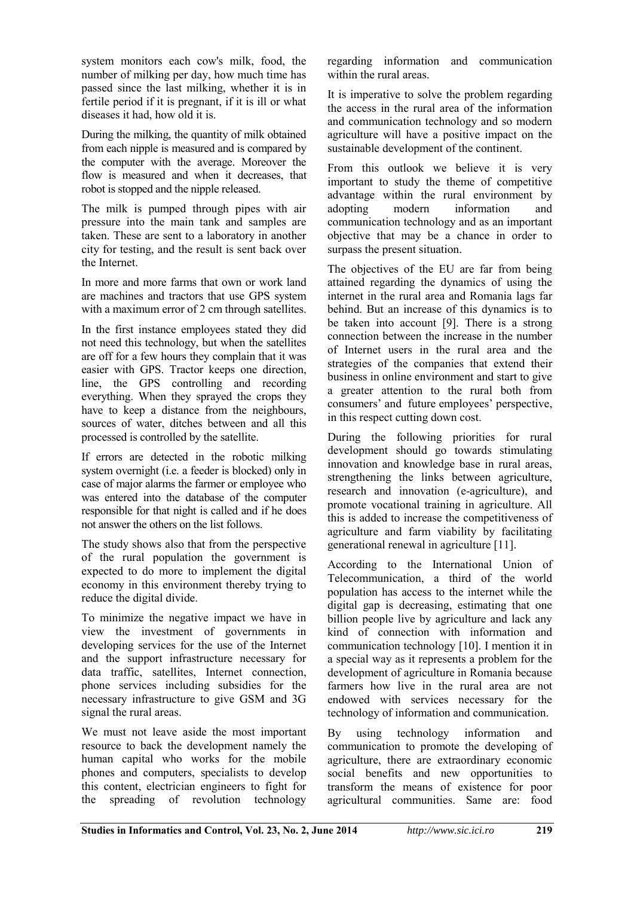system monitors each cow's milk, food, the number of milking per day, how much time has passed since the last milking, whether it is in fertile period if it is pregnant, if it is ill or what diseases it had, how old it is.

During the milking, the quantity of milk obtained from each nipple is measured and is compared by the computer with the average. Moreover the flow is measured and when it decreases, that robot is stopped and the nipple released.

The milk is pumped through pipes with air pressure into the main tank and samples are taken. These are sent to a laboratory in another city for testing, and the result is sent back over the Internet.

In more and more farms that own or work land are machines and tractors that use GPS system with a maximum error of 2 cm through satellites.

In the first instance employees stated they did not need this technology, but when the satellites are off for a few hours they complain that it was easier with GPS. Tractor keeps one direction, line, the GPS controlling and recording everything. When they sprayed the crops they have to keep a distance from the neighbours, sources of water, ditches between and all this processed is controlled by the satellite.

If errors are detected in the robotic milking system overnight (i.e. a feeder is blocked) only in case of major alarms the farmer or employee who was entered into the database of the computer responsible for that night is called and if he does not answer the others on the list follows.

The study shows also that from the perspective of the rural population the government is expected to do more to implement the digital economy in this environment thereby trying to reduce the digital divide.

To minimize the negative impact we have in view the investment of governments in developing services for the use of the Internet and the support infrastructure necessary for data traffic, satellites, Internet connection, phone services including subsidies for the necessary infrastructure to give GSM and 3G signal the rural areas.

We must not leave aside the most important resource to back the development namely the human capital who works for the mobile phones and computers, specialists to develop this content, electrician engineers to fight for the spreading of revolution technology regarding information and communication within the rural areas.

It is imperative to solve the problem regarding the access in the rural area of the information and communication technology and so modern agriculture will have a positive impact on the sustainable development of the continent.

From this outlook we believe it is very important to study the theme of competitive advantage within the rural environment by adopting modern information and communication technology and as an important objective that may be a chance in order to surpass the present situation.

The objectives of the EU are far from being attained regarding the dynamics of using the internet in the rural area and Romania lags far behind. But an increase of this dynamics is to be taken into account [9]. There is a strong connection between the increase in the number of Internet users in the rural area and the strategies of the companies that extend their business in online environment and start to give a greater attention to the rural both from consumers' and future employees' perspective, in this respect cutting down cost.

During the following priorities for rural development should go towards stimulating innovation and knowledge base in rural areas, strengthening the links between agriculture, research and innovation (e-agriculture), and promote vocational training in agriculture. All this is added to increase the competitiveness of agriculture and farm viability by facilitating generational renewal in agriculture [11].

According to the International Union of Telecommunication, a third of the world population has access to the internet while the digital gap is decreasing, estimating that one billion people live by agriculture and lack any kind of connection with information and communication technology [10]. I mention it in a special way as it represents a problem for the development of agriculture in Romania because farmers how live in the rural area are not endowed with services necessary for the technology of information and communication.

By using technology information and communication to promote the developing of agriculture, there are extraordinary economic social benefits and new opportunities to transform the means of existence for poor agricultural communities. Same are: food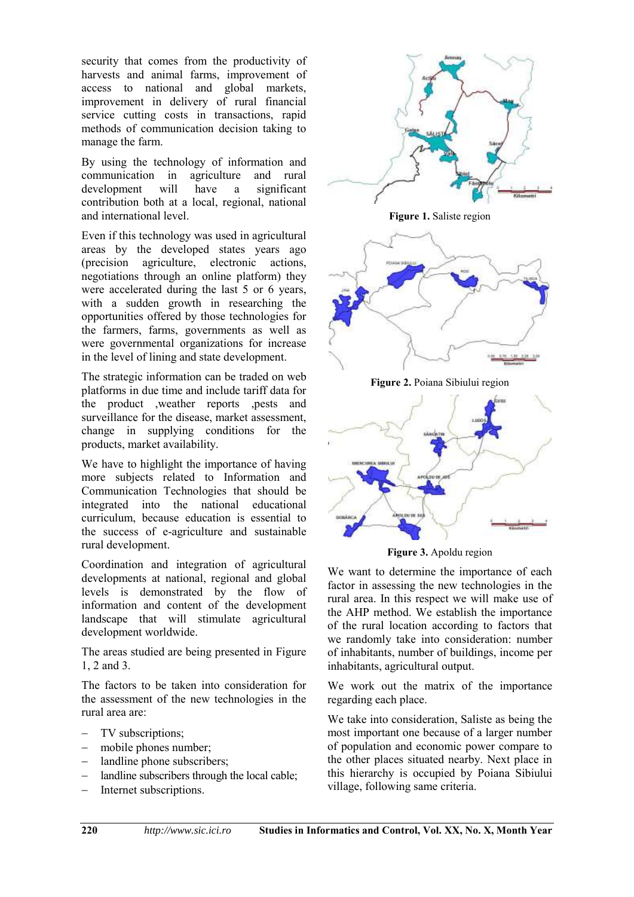security that comes from the productivity of harvests and animal farms, improvement of access to national and global markets, improvement in delivery of rural financial service cutting costs in transactions, rapid methods of communication decision taking to manage the farm.

By using the technology of information and communication in agriculture and rural development will have a significant contribution both at a local, regional, national and international level.

Even if this technology was used in agricultural areas by the developed states years ago (precision agriculture, electronic actions, negotiations through an online platform) they were accelerated during the last 5 or 6 years, with a sudden growth in researching the opportunities offered by those technologies for the farmers, farms, governments as well as were governmental organizations for increase in the level of lining and state development.

The strategic information can be traded on web platforms in due time and include tariff data for the product ,weather reports ,pests and surveillance for the disease, market assessment, change in supplying conditions for the products, market availability.

We have to highlight the importance of having more subjects related to Information and Communication Technologies that should be integrated into the national educational curriculum, because education is essential to the success of e-agriculture and sustainable rural development.

Coordination and integration of agricultural developments at national, regional and global levels is demonstrated by the flow of information and content of the development landscape that will stimulate agricultural development worldwide.

The areas studied are being presented in Figure 1, 2 and 3.

The factors to be taken into consideration for the assessment of the new technologies in the rural area are:

- TV subscriptions;
- mobile phones number;
- landline phone subscribers;
- landline subscribers through the local cable;
- Internet subscriptions.



**Figure 3.** Apoldu region

We want to determine the importance of each factor in assessing the new technologies in the rural area. In this respect we will make use of the AHP method. We establish the importance of the rural location according to factors that we randomly take into consideration: number of inhabitants, number of buildings, income per inhabitants, agricultural output.

We work out the matrix of the importance regarding each place.

We take into consideration, Saliste as being the most important one because of a larger number of population and economic power compare to the other places situated nearby. Next place in this hierarchy is occupied by Poiana Sibiului village, following same criteria.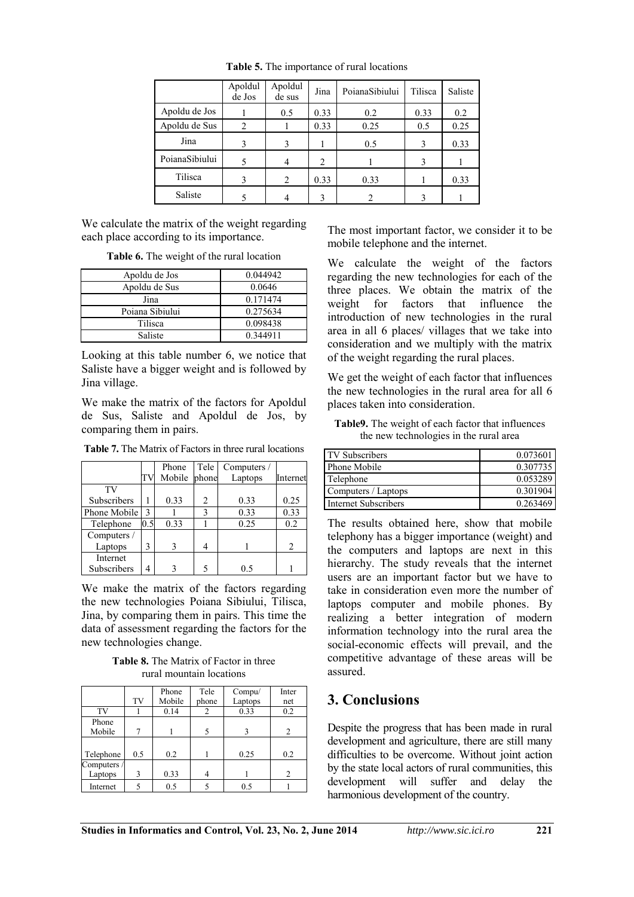|                | Apoldul<br>de Jos | Apoldul<br>de sus | Jina           | PoianaSibiului | Tilisca | Saliste |
|----------------|-------------------|-------------------|----------------|----------------|---------|---------|
| Apoldu de Jos  |                   | 0.5               | 0.33           | 0.2            | 0.33    | 0.2     |
| Apoldu de Sus  | $\overline{c}$    |                   | 0.33           | 0.25           | 0.5     | 0.25    |
| Jina           | 3                 | 3                 |                | 0.5            | 3       | 0.33    |
| PoianaSibiului | 5                 | 4                 | $\overline{2}$ |                | 3       |         |
| Tilisca        | 3                 | 2                 | 0.33           | 0.33           |         | 0.33    |
| Saliste        |                   | 4                 | $\mathbf 3$    | $\mathcal{D}$  | ζ       |         |

**Table 5.** The importance of rural locations

We calculate the matrix of the weight regarding each place according to its importance.

**Table 6.** The weight of the rural location

| Apoldu de Jos   | 0.044942 |
|-----------------|----------|
| Apoldu de Sus   | 0.0646   |
| Jina            | 0.171474 |
| Poiana Sibiului | 0.275634 |
| Tilisca         | 0.098438 |
| Saliste         | 0.344911 |

Looking at this table number 6, we notice that Saliste have a bigger weight and is followed by Jina village.

We make the matrix of the factors for Apoldul de Sus, Saliste and Apoldul de Jos, by comparing them in pairs.

**Table 7.** The Matrix of Factors in three rural locations

|              |               | Phone  | Tele  | Computers / |                |
|--------------|---------------|--------|-------|-------------|----------------|
|              | TV            | Mobile | phone | Laptops     | Internet       |
| TV           |               |        |       |             |                |
| Subscribers  |               | 0.33   | 2     | 0.33        | 0.25           |
| Phone Mobile | $\mathcal{E}$ |        | 3     | 0.33        | 0.33           |
| Telephone    | 0.5           | 0.33   |       | 0.25        | 0.2            |
| Computers /  |               |        |       |             |                |
| Laptops      | 3             |        |       |             | $\mathfrak{D}$ |
| Internet     |               |        |       |             |                |
| Subscribers  | 4             |        |       | 05          |                |

We make the matrix of the factors regarding the new technologies Poiana Sibiului, Tilisca, Jina, by comparing them in pairs. This time the data of assessment regarding the factors for the new technologies change.

**Table 8.** The Matrix of Factor in three rural mountain locations

|                        | TV  | Phone<br>Mobile | Tele<br>phone | Compu/<br>Laptops | Inter<br>net |
|------------------------|-----|-----------------|---------------|-------------------|--------------|
| TV                     |     | 0.14            | 2             | 0.33              | 0.2          |
| Phone<br>Mobile        |     |                 |               | 3                 | 2            |
| Telephone              | 0.5 | 0.2             |               | 0.25              | 0.2          |
| Computers /<br>Laptops | 3   | 0.33            | 4             |                   | 2            |
| Internet               |     | 0.5             |               | 0.5               |              |

The most important factor, we consider it to be mobile telephone and the internet.

We calculate the weight of the factors regarding the new technologies for each of the three places. We obtain the matrix of the weight for factors that influence the introduction of new technologies in the rural area in all 6 places/ villages that we take into consideration and we multiply with the matrix of the weight regarding the rural places.

We get the weight of each factor that influences the new technologies in the rural area for all 6 places taken into consideration.

**Table9.** The weight of each factor that influences the new technologies in the rural area

| TV Subscribers              | 0.073601 |
|-----------------------------|----------|
| Phone Mobile                | 0.307735 |
| Telephone                   | 0.053289 |
| Computers / Laptops         | 0.301904 |
| <b>Internet Subscribers</b> | 0.263469 |

The results obtained here, show that mobile telephony has a bigger importance (weight) and the computers and laptops are next in this hierarchy. The study reveals that the internet users are an important factor but we have to take in consideration even more the number of laptops computer and mobile phones. By realizing a better integration of modern information technology into the rural area the social-economic effects will prevail, and the competitive advantage of these areas will be assured.

## **3. Conclusions**

Despite the progress that has been made in rural development and agriculture, there are still many difficulties to be overcome. Without joint action by the state local actors of rural communities, this development will suffer and delay the harmonious development of the country.